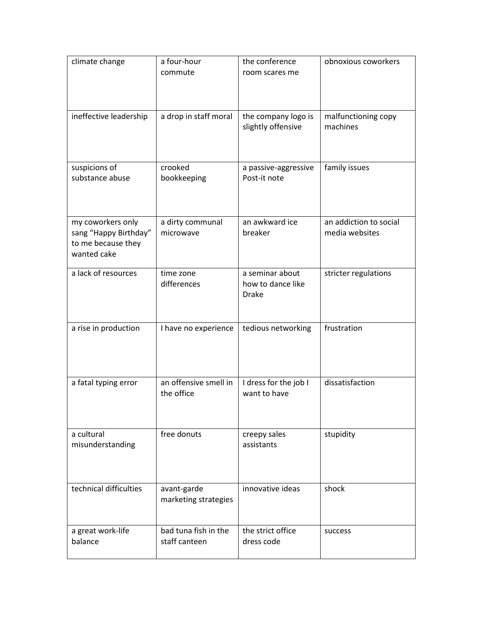| climate change                                                                  | a four-hour<br>commute                | the conference<br>room scares me                     | obnoxious coworkers                      |
|---------------------------------------------------------------------------------|---------------------------------------|------------------------------------------------------|------------------------------------------|
| ineffective leadership                                                          | a drop in staff moral                 | the company logo is<br>slightly offensive            | malfunctioning copy<br>machines          |
| suspicions of<br>substance abuse                                                | crooked<br>bookkeeping                | a passive-aggressive<br>Post-it note                 | family issues                            |
| my coworkers only<br>sang "Happy Birthday"<br>to me because they<br>wanted cake | a dirty communal<br>microwave         | an awkward ice<br>breaker                            | an addiction to social<br>media websites |
| a lack of resources                                                             | time zone<br>differences              | a seminar about<br>how to dance like<br><b>Drake</b> | stricter regulations                     |
| a rise in production                                                            | I have no experience                  | tedious networking                                   | frustration                              |
| a fatal typing error                                                            | an offensive smell in<br>the office   | I dress for the job I<br>want to have                | dissatisfaction                          |
| a cultural<br>misunderstanding                                                  | free donuts                           | creepy sales<br>assistants                           | stupidity                                |
| technical difficulties                                                          | avant-garde<br>marketing strategies   | innovative ideas                                     | shock                                    |
| a great work-life<br>balance                                                    | bad tuna fish in the<br>staff canteen | the strict office<br>dress code                      | success                                  |